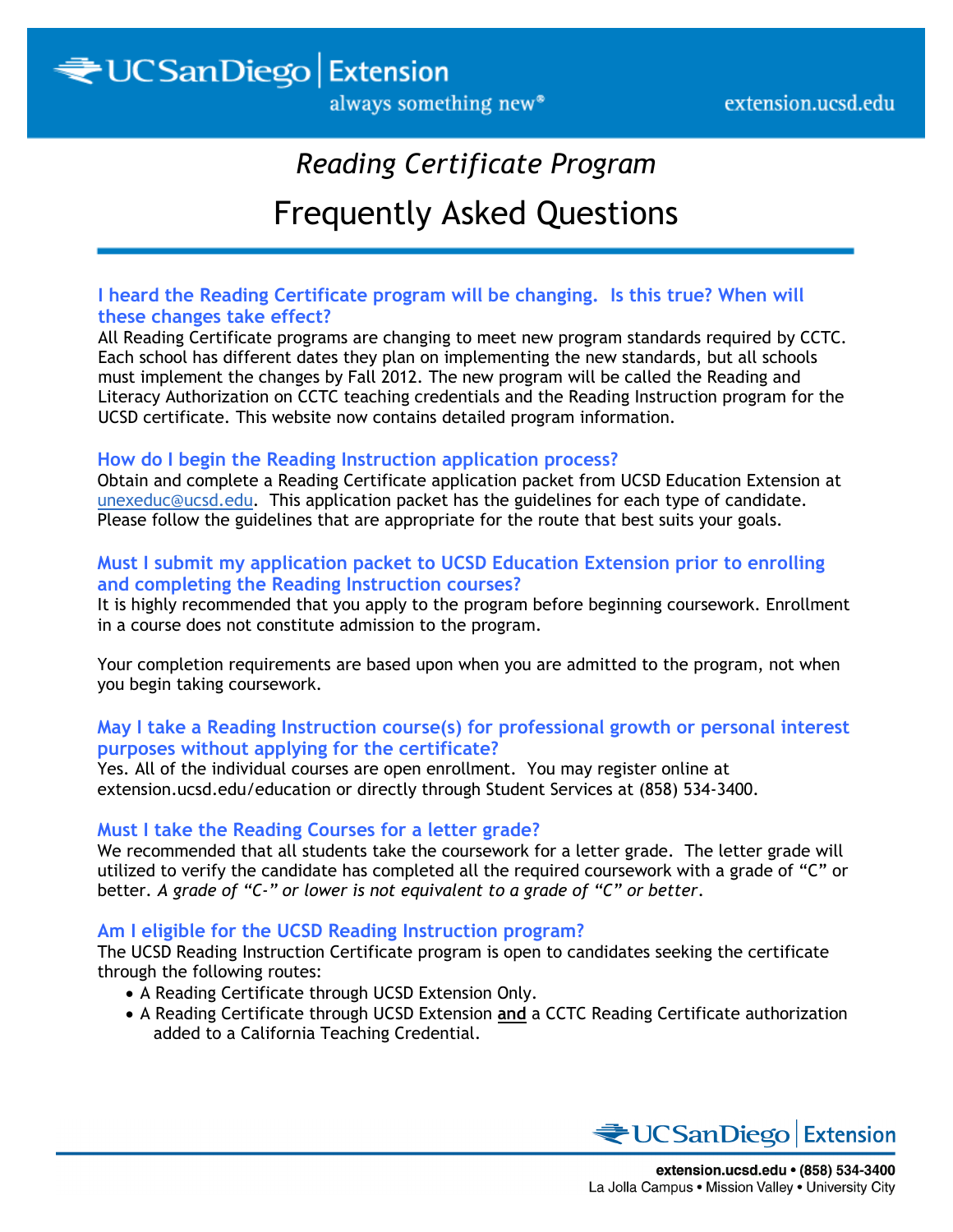always something new<sup>®</sup>

# *Reading Certificate Program*

## Frequently Asked Questions

## **I heard the Reading Certificate program will be changing. Is this true? When will these changes take effect?**

All Reading Certificate programs are changing to meet new program standards required by CCTC. Each school has different dates they plan on implementing the new standards, but all schools must implement the changes by Fall 2012. The new program will be called the Reading and Literacy Authorization on CCTC teaching credentials and the Reading Instruction program for the UCSD certificate. This website now contains detailed program information.

#### **How do I begin the Reading Instruction application process?**

Obtain and complete a Reading Certificate application packet from UCSD Education Extension at [unexeduc@ucsd.edu.](mailto:unexeduc@ucsd.edu) This application packet has the guidelines for each type of candidate. Please follow the guidelines that are appropriate for the route that best suits your goals.

#### **Must I submit my application packet to UCSD Education Extension prior to enrolling and completing the Reading Instruction courses?**

It is highly recommended that you apply to the program before beginning coursework. Enrollment in a course does not constitute admission to the program.

Your completion requirements are based upon when you are admitted to the program, not when you begin taking coursework.

#### **May I take a Reading Instruction course(s) for professional growth or personal interest purposes without applying for the certificate?**

Yes. All of the individual courses are open enrollment. You may register online at extension.ucsd.edu/education or directly through Student Services at (858) 534-3400.

#### **Must I take the Reading Courses for a letter grade?**

We recommended that all students take the coursework for a letter grade. The letter grade will utilized to verify the candidate has completed all the required coursework with a grade of "C" or better. *A grade of "C-" or lower is not equivalent to a grade of "C" or better*.

## **Am I eligible for the UCSD Reading Instruction program?**

The UCSD Reading Instruction Certificate program is open to candidates seeking the certificate through the following routes:

- A Reading Certificate through UCSD Extension Only.
- A Reading Certificate through UCSD Extension **and** a CCTC Reading Certificate authorization added to a California Teaching Credential.

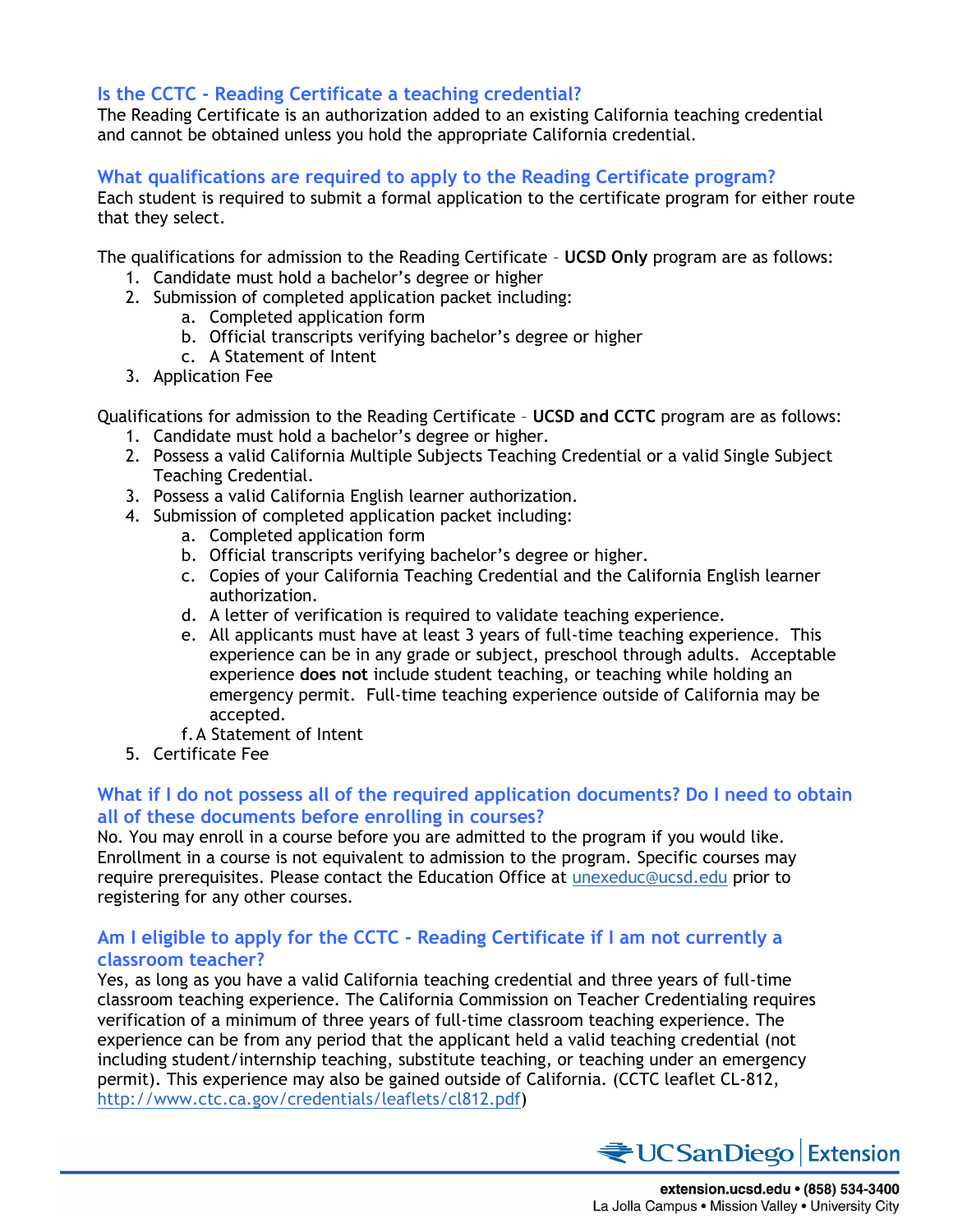## **Is the CCTC - Reading Certificate a teaching credential?**

The Reading Certificate is an authorization added to an existing California teaching credential and cannot be obtained unless you hold the appropriate California credential.

### **What qualifications are required to apply to the Reading Certificate program?**

Each student is required to submit a formal application to the certificate program for either route that they select.

The qualifications for admission to the Reading Certificate – **UCSD Only** program are as follows:

- 1. Candidate must hold a bachelor's degree or higher
- 2. Submission of completed application packet including:
	- a. Completed application form
	- b. Official transcripts verifying bachelor's degree or higher
	- c. A Statement of Intent
- 3. Application Fee

Qualifications for admission to the Reading Certificate – **UCSD and CCTC** program are as follows:

- 1. Candidate must hold a bachelor's degree or higher.
- 2. Possess a valid California Multiple Subjects Teaching Credential or a valid Single Subject Teaching Credential.
- 3. Possess a valid California English learner authorization.
- 4. Submission of completed application packet including:
	- a. Completed application form
	- b. Official transcripts verifying bachelor's degree or higher.
	- c. Copies of your California Teaching Credential and the California English learner authorization.
	- d. A letter of verification is required to validate teaching experience.
	- e. All applicants must have at least 3 years of full-time teaching experience. This experience can be in any grade or subject, preschool through adults. Acceptable experience **does not** include student teaching, or teaching while holding an emergency permit. Full-time teaching experience outside of California may be accepted.
	- f.A Statement of Intent
- 5. Certificate Fee

## **What if I do not possess all of the required application documents? Do I need to obtain all of these documents before enrolling in courses?**

No. You may enroll in a course before you are admitted to the program if you would like. Enrollment in a course is not equivalent to admission to the program. Specific courses may require prerequisites. Please contact the Education Office at [unexeduc@ucsd.edu](mailto:unexeduc@ucsd.edu) prior to registering for any other courses.

## **Am I eligible to apply for the CCTC - Reading Certificate if I am not currently a classroom teacher?**

Yes, as long as you have a valid California teaching credential and three years of full-time classroom teaching experience. The California Commission on Teacher Credentialing requires verification of a minimum of three years of full-time classroom teaching experience. The experience can be from any period that the applicant held a valid teaching credential (not including student/internship teaching, substitute teaching, or teaching under an emergency permit). This experience may also be gained outside of California. (CCTC leaflet CL-812, [http://www.ctc.ca.gov/credentials/leaflets/cl812.pdf\)](http://www.ctc.ca.gov/credentials/leaflets/cl812.pdf)